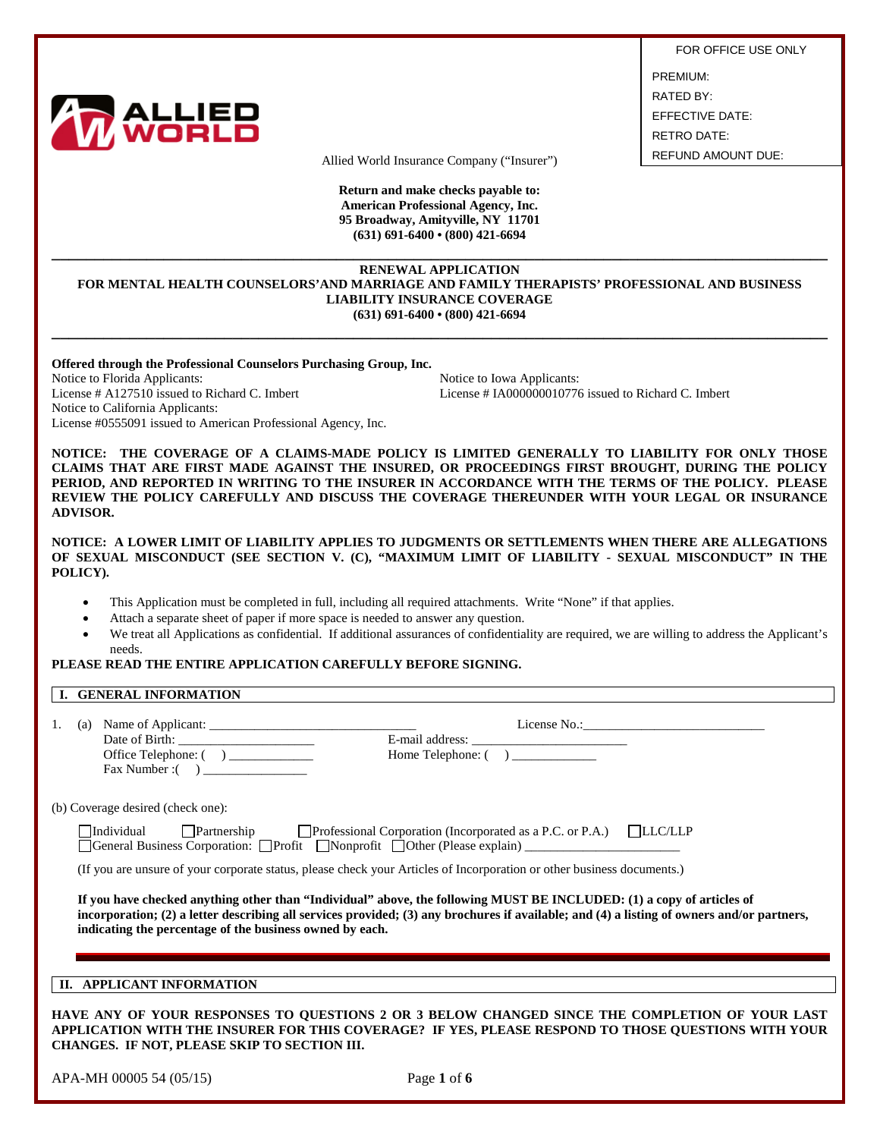

FOR OFFICE USE ONLY PREMIUM: RATED BY: EFFECTIVE DATE: RETRO DATE:

Allied World Insurance Company ("Insurer") REFUND AMOUNT DUE:

**Return and make checks payable to: American Professional Agency, Inc. 95 Broadway, Amityville, NY 11701 (631) 691-6400 • (800) 421-6694**

## **\_\_\_\_\_\_\_\_\_\_\_\_\_\_\_\_\_\_\_\_\_\_\_\_\_\_\_\_\_\_\_\_\_\_\_\_\_\_\_\_\_\_\_\_\_\_\_\_\_\_\_\_\_\_\_\_\_\_\_\_\_\_\_\_\_\_\_\_\_\_\_\_\_\_\_\_\_\_\_\_\_\_\_\_\_\_\_\_\_\_ RENEWAL APPLICATION FOR MENTAL HEALTH COUNSELORS'AND MARRIAGE AND FAMILY THERAPISTS' PROFESSIONAL AND BUSINESS LIABILITY INSURANCE COVERAGE (631) 691-6400 • (800) 421-6694**

**\_\_\_\_\_\_\_\_\_\_\_\_\_\_\_\_\_\_\_\_\_\_\_\_\_\_\_\_\_\_\_\_\_\_\_\_\_\_\_\_\_\_\_\_\_\_\_\_\_\_\_\_\_\_\_\_\_\_\_\_\_\_\_\_\_\_\_\_\_\_\_\_\_\_\_\_\_\_\_\_\_\_\_\_\_\_\_\_\_\_**

**Offered through the Professional Counselors Purchasing Group, Inc.**

Notice to Florida Applicants:<br>
License # A127510 issued to Richard C. Imbert<br>
License # IA000000010776 Notice to California Applicants: License #0555091 issued to American Professional Agency, Inc.

License # IA000000010776 issued to Richard C. Imbert

**NOTICE: THE COVERAGE OF A CLAIMS-MADE POLICY IS LIMITED GENERALLY TO LIABILITY FOR ONLY THOSE CLAIMS THAT ARE FIRST MADE AGAINST THE INSURED, OR PROCEEDINGS FIRST BROUGHT, DURING THE POLICY PERIOD, AND REPORTED IN WRITING TO THE INSURER IN ACCORDANCE WITH THE TERMS OF THE POLICY. PLEASE REVIEW THE POLICY CAREFULLY AND DISCUSS THE COVERAGE THEREUNDER WITH YOUR LEGAL OR INSURANCE ADVISOR.** 

**NOTICE: A LOWER LIMIT OF LIABILITY APPLIES TO JUDGMENTS OR SETTLEMENTS WHEN THERE ARE ALLEGATIONS OF SEXUAL MISCONDUCT (SEE SECTION V. (C), "MAXIMUM LIMIT OF LIABILITY - SEXUAL MISCONDUCT" IN THE POLICY).** 

- This Application must be completed in full, including all required attachments. Write "None" if that applies.
- Attach a separate sheet of paper if more space is needed to answer any question.
- We treat all Applications as confidential. If additional assurances of confidentiality are required, we are willing to address the Applicant's needs.

## **PLEASE READ THE ENTIRE APPLICATION CAREFULLY BEFORE SIGNING.**

## **I. GENERAL INFORMATION**

| 1. | (a) Name of Applicant: $\frac{1}{\sqrt{1-\frac{1}{2}}}\left\{ \frac{1}{2}, \frac{1}{2}, \frac{1}{2}, \frac{1}{2}, \frac{1}{2}, \frac{1}{2}, \frac{1}{2}, \frac{1}{2}, \frac{1}{2}, \frac{1}{2}, \frac{1}{2}, \frac{1}{2}, \frac{1}{2}, \frac{1}{2}, \frac{1}{2}, \frac{1}{2}, \frac{1}{2}, \frac{1}{2}, \frac{1}{2}, \frac{1}{2}, \frac{1}{2}, \frac{1}{2}, \frac{1}{2}, \frac{1}{2}, \frac{1}{2}, \frac$<br>Office Telephone: ()<br>$\text{Fax Number:}$ ( ) | License No.:<br>Home Telephone: ()                                                                                                                                                                                                                                  |
|----|---------------------------------------------------------------------------------------------------------------------------------------------------------------------------------------------------------------------------------------------------------------------------------------------------------------------------------------------------------------------------------------------------------------------------------------------------------------|---------------------------------------------------------------------------------------------------------------------------------------------------------------------------------------------------------------------------------------------------------------------|
|    | (b) Coverage desired (check one):                                                                                                                                                                                                                                                                                                                                                                                                                             |                                                                                                                                                                                                                                                                     |
|    |                                                                                                                                                                                                                                                                                                                                                                                                                                                               | Individual Partnership Professional Corporation (Incorporated as a P.C. or P.A.) LLC/LLP<br>General Business Corporation: Profit Nonprofit Other (Please explain)                                                                                                   |
|    |                                                                                                                                                                                                                                                                                                                                                                                                                                                               | (If you are unsure of your corporate status, please check your Articles of Incorporation or other business documents.)                                                                                                                                              |
|    | indicating the percentage of the business owned by each.                                                                                                                                                                                                                                                                                                                                                                                                      | If you have checked anything other than "Individual" above, the following MUST BE INCLUDED: (1) a copy of articles of<br>incorporation; (2) a letter describing all services provided; (3) any brochures if available; and (4) a listing of owners and/or partners, |
|    | II. APPLICANT INFORMATION                                                                                                                                                                                                                                                                                                                                                                                                                                     |                                                                                                                                                                                                                                                                     |
|    |                                                                                                                                                                                                                                                                                                                                                                                                                                                               | HAVE ANY OF YOUR RESPONSES TO OUESTIONS 2 OR 3 BELOW CHANGED SINCE THE COMPLETION OF YOUR LAST<br>APPLICATION WITH THE INSURER FOR THIS COVERAGE? IF YES, PLEASE RESPOND TO THOSE OUESTIONS WITH YOUR                                                               |

**APPLICATION WITH THE INSURER FOR THIS COVERAGE? IF YES, PLEASE RESPOND TO THOSE QUESTIONS WITH YOUR CHANGES. IF NOT, PLEASE SKIP TO SECTION III.**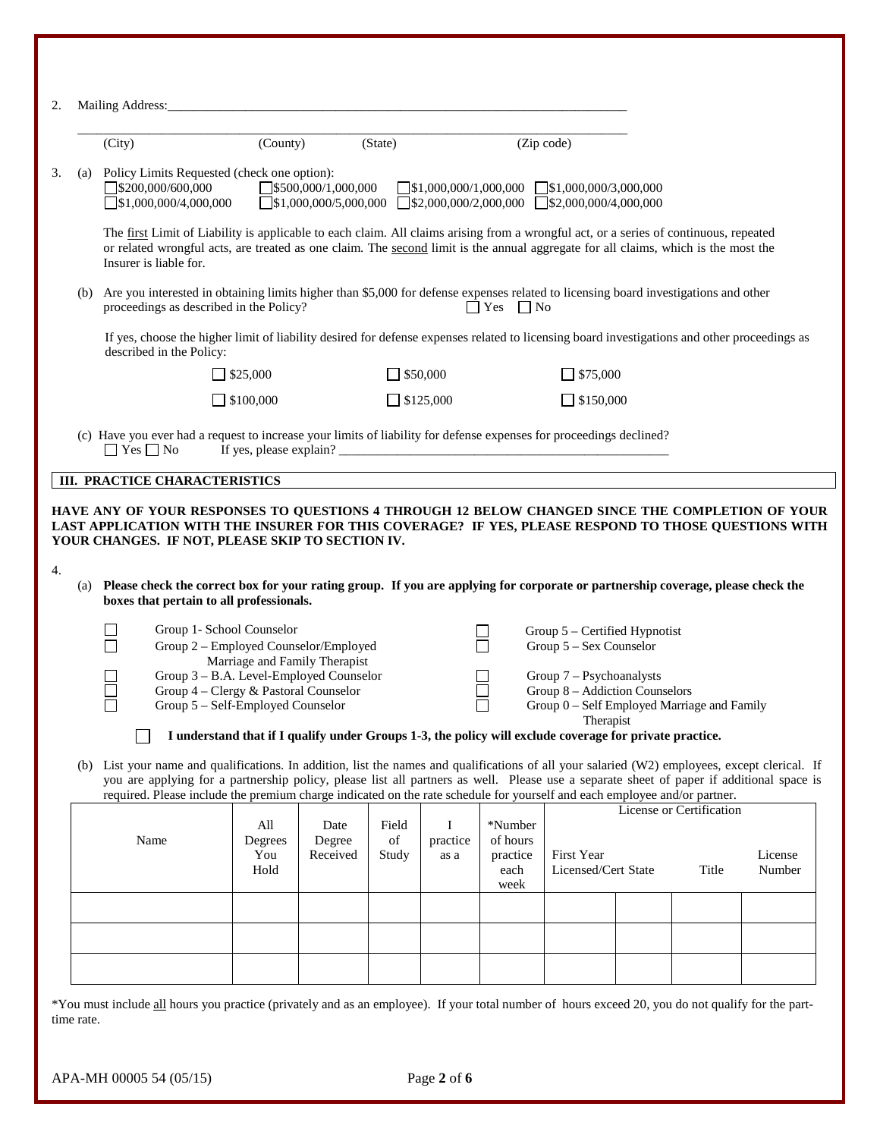| 2. |     | Mailing Address:                                                                                                                                                                                                                                                                                                                                                                                                                              |                               |                               |                      |                                 |                                                 |                                                                                                                                                                       |                                   |                   |
|----|-----|-----------------------------------------------------------------------------------------------------------------------------------------------------------------------------------------------------------------------------------------------------------------------------------------------------------------------------------------------------------------------------------------------------------------------------------------------|-------------------------------|-------------------------------|----------------------|---------------------------------|-------------------------------------------------|-----------------------------------------------------------------------------------------------------------------------------------------------------------------------|-----------------------------------|-------------------|
|    |     | (City)                                                                                                                                                                                                                                                                                                                                                                                                                                        | (County)                      |                               | (State)              |                                 |                                                 | (Zip code)                                                                                                                                                            |                                   |                   |
| 3. |     | (a) Policy Limits Requested (check one option):<br>$\Box$ \$200,000/600,000<br>$\Box$ \$1,000,000/4,000,000                                                                                                                                                                                                                                                                                                                                   |                               | 5500,000/1,000,000            |                      |                                 |                                                 | $\Box$ \$1,000,000/1,000,000 $\Box$ \$1,000,000/3,000,000<br>$\Box$ \$1,000,000/5,000,000 $\Box$ \$2,000,000/2,000,000 $\Box$ \$2,000,000/4,000,000                   |                                   |                   |
|    |     | The first Limit of Liability is applicable to each claim. All claims arising from a wrongful act, or a series of continuous, repeated<br>or related wrongful acts, are treated as one claim. The second limit is the annual aggregate for all claims, which is the most the<br>Insurer is liable for.                                                                                                                                         |                               |                               |                      |                                 |                                                 |                                                                                                                                                                       |                                   |                   |
|    | (b) | Are you interested in obtaining limits higher than \$5,000 for defense expenses related to licensing board investigations and other<br>proceedings as described in the Policy?                                                                                                                                                                                                                                                                |                               |                               |                      |                                 | $\Box$ Yes $\Box$ No                            |                                                                                                                                                                       |                                   |                   |
|    |     | If yes, choose the higher limit of liability desired for defense expenses related to licensing board investigations and other proceedings as<br>described in the Policy:                                                                                                                                                                                                                                                                      |                               |                               |                      |                                 |                                                 |                                                                                                                                                                       |                                   |                   |
|    |     |                                                                                                                                                                                                                                                                                                                                                                                                                                               | $\Box$ \$25,000               |                               | $\Box$ \$50,000      |                                 |                                                 | $\Box$ \$75,000                                                                                                                                                       |                                   |                   |
|    |     |                                                                                                                                                                                                                                                                                                                                                                                                                                               | $\Box$ \$100,000              |                               | $\Box$ \$125,000     |                                 |                                                 | $\Box$ \$150,000                                                                                                                                                      |                                   |                   |
|    |     | (c) Have you ever had a request to increase your limits of liability for defense expenses for proceedings declined?<br>$\Box$ Yes $\Box$ No<br><b>III. PRACTICE CHARACTERISTICS</b>                                                                                                                                                                                                                                                           |                               |                               |                      |                                 |                                                 |                                                                                                                                                                       |                                   |                   |
| 4. |     | HAVE ANY OF YOUR RESPONSES TO QUESTIONS 4 THROUGH 12 BELOW CHANGED SINCE THE COMPLETION OF YOUR<br>LAST APPLICATION WITH THE INSURER FOR THIS COVERAGE? IF YES, PLEASE RESPOND TO THOSE QUESTIONS WITH<br>YOUR CHANGES. IF NOT, PLEASE SKIP TO SECTION IV.<br>(a) Please check the correct box for your rating group. If you are applying for corporate or partnership coverage, please check the<br>boxes that pertain to all professionals. |                               |                               |                      |                                 |                                                 |                                                                                                                                                                       |                                   |                   |
|    |     | Group 1- School Counselor<br>Group 2 - Employed Counselor/Employed<br>Group 3 - B.A. Level-Employed Counselor<br>Group 4 - Clergy & Pastoral Counselor<br>Group 5 - Self-Employed Counselor                                                                                                                                                                                                                                                   |                               | Marriage and Family Therapist |                      |                                 |                                                 | Group 5 – Certified Hypnotist<br>Group 5 - Sex Counselor<br>Group 7 – Psychoanalysts<br>Group 8 - Addiction Counselors<br>Group 0 - Self Employed Marriage and Family |                                   |                   |
|    |     |                                                                                                                                                                                                                                                                                                                                                                                                                                               |                               |                               |                      |                                 |                                                 | Therapist<br>I understand that if I qualify under Groups 1-3, the policy will exclude coverage for private practice.                                                  |                                   |                   |
|    |     | (b) List your name and qualifications. In addition, list the names and qualifications of all your salaried (W2) employees, except clerical. If<br>you are applying for a partnership policy, please list all partners as well. Please use a separate sheet of paper if additional space is<br>required. Please include the premium charge indicated on the rate schedule for yourself and each employee and/or partner.                       |                               |                               |                      |                                 |                                                 |                                                                                                                                                                       |                                   |                   |
|    |     | Name                                                                                                                                                                                                                                                                                                                                                                                                                                          | All<br>Degrees<br>You<br>Hold | Date<br>Degree<br>Received    | Field<br>of<br>Study | $\mathbf I$<br>practice<br>as a | *Number<br>of hours<br>practice<br>each<br>week | First Year<br>Licensed/Cert State                                                                                                                                     | License or Certification<br>Title | License<br>Number |
|    |     |                                                                                                                                                                                                                                                                                                                                                                                                                                               |                               |                               |                      |                                 |                                                 |                                                                                                                                                                       |                                   |                   |

\*You must include all hours you practice (privately and as an employee). If your total number of hours exceed 20, you do not qualify for the parttime rate.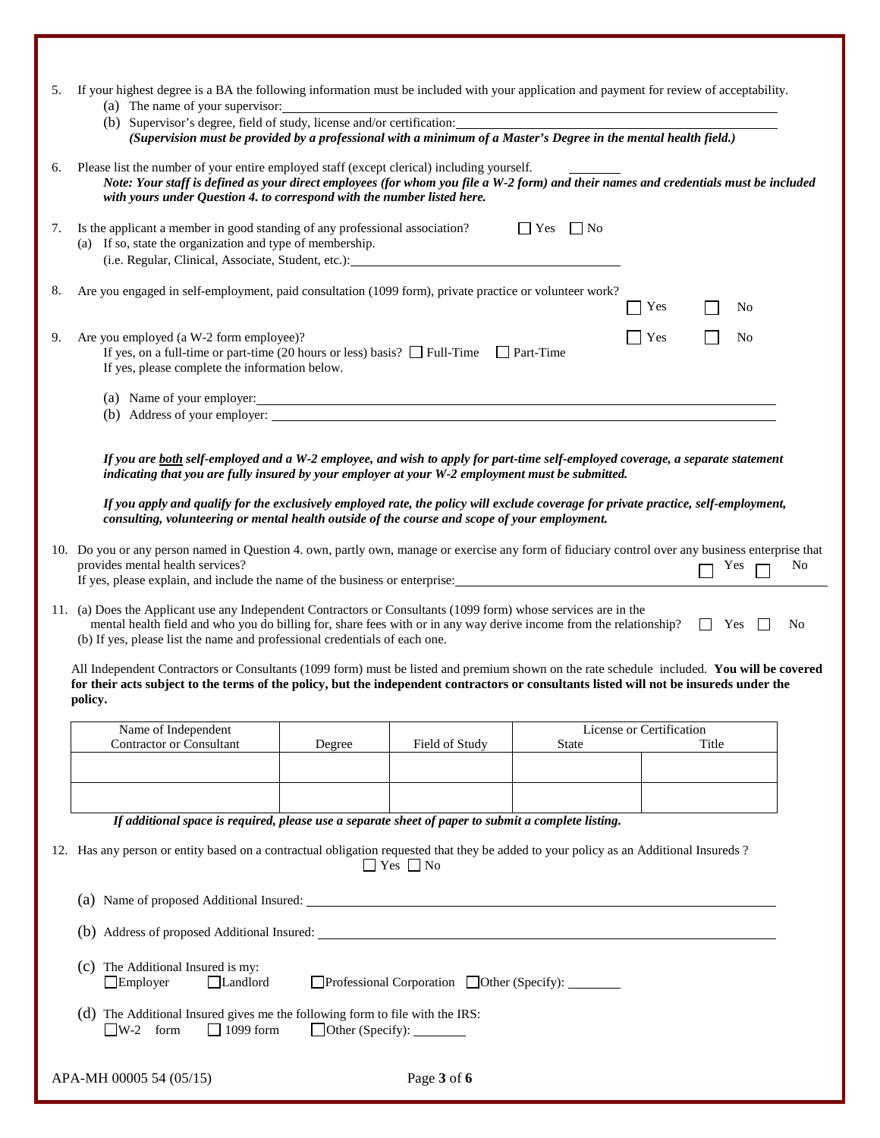| 5. | If your highest degree is a BA the following information must be included with your application and payment for review of acceptability.<br>(a) The name of your supervisor:                                                                                                                                        |                                |                                                       |                      |                          |            |    |
|----|---------------------------------------------------------------------------------------------------------------------------------------------------------------------------------------------------------------------------------------------------------------------------------------------------------------------|--------------------------------|-------------------------------------------------------|----------------------|--------------------------|------------|----|
|    | (b) Supervisor's degree, field of study, license and/or certification:<br>(Supervision must be provided by a professional with a minimum of a Master's Degree in the mental health field.)                                                                                                                          |                                |                                                       |                      |                          |            |    |
| 6. | Please list the number of your entire employed staff (except clerical) including yourself.<br>Note: Your staff is defined as your direct employees (for whom you file a W-2 form) and their names and credentials must be included<br>with yours under Question 4. to correspond with the number listed here.       |                                |                                                       |                      |                          |            |    |
| 7. | Is the applicant a member in good standing of any professional association?<br>(a) If so, state the organization and type of membership.<br>(i.e. Regular, Clinical, Associate, Student, etc.):                                                                                                                     |                                |                                                       | $\Box$ Yes $\Box$ No |                          |            |    |
| 8. | Are you engaged in self-employment, paid consultation (1099 form), private practice or volunteer work?                                                                                                                                                                                                              |                                |                                                       |                      | Yes                      | No         |    |
| 9. | Are you employed (a W-2 form employee)?<br>If yes, on a full-time or part-time (20 hours or less) basis? $\Box$ Full-Time $\Box$ Part-Time<br>If yes, please complete the information below.                                                                                                                        |                                |                                                       |                      | Yes                      | No         |    |
|    | (b) Address of your employer:                                                                                                                                                                                                                                                                                       |                                |                                                       |                      |                          |            |    |
|    | If you are both self-employed and a W-2 employee, and wish to apply for part-time self-employed coverage, a separate statement<br>indicating that you are fully insured by your employer at your W-2 employment must be submitted.                                                                                  |                                |                                                       |                      |                          |            |    |
|    | If you apply and qualify for the exclusively employed rate, the policy will exclude coverage for private practice, self-employment,<br>consulting, volunteering or mental health outside of the course and scope of your employment.                                                                                |                                |                                                       |                      |                          |            |    |
|    | 10. Do you or any person named in Question 4. own, partly own, manage or exercise any form of fiduciary control over any business enterprise that<br>provides mental health services?<br>If yes, please explain, and include the name of the business or enterprise:                                                |                                |                                                       |                      |                          | Yes        | No |
|    | 11. (a) Does the Applicant use any Independent Contractors or Consultants (1099 form) whose services are in the<br>mental health field and who you do billing for, share fees with or in any way derive income from the relationship?<br>(b) If yes, please list the name and professional credentials of each one. |                                |                                                       |                      |                          | $\Box$ Yes | No |
|    | All Independent Contractors or Consultants (1099 form) must be listed and premium shown on the rate schedule included. You will be covered<br>for their acts subject to the terms of the policy, but the independent contractors or consultants listed will not be insureds under the<br>policy.                    |                                |                                                       |                      |                          |            |    |
|    | Name of Independent<br><b>Contractor or Consultant</b>                                                                                                                                                                                                                                                              | Degree                         | Field of Study                                        | State                | License or Certification | Title      |    |
|    |                                                                                                                                                                                                                                                                                                                     |                                |                                                       |                      |                          |            |    |
|    | If additional space is required, please use a separate sheet of paper to submit a complete listing.                                                                                                                                                                                                                 |                                |                                                       |                      |                          |            |    |
|    | 12. Has any person or entity based on a contractual obligation requested that they be added to your policy as an Additional Insureds?                                                                                                                                                                               |                                | $\Box$ Yes $\Box$ No                                  |                      |                          |            |    |
|    |                                                                                                                                                                                                                                                                                                                     |                                |                                                       |                      |                          |            |    |
|    |                                                                                                                                                                                                                                                                                                                     |                                |                                                       |                      |                          |            |    |
|    | (c) The Additional Insured is my:<br>$\Box$ Employer<br>Landlord                                                                                                                                                                                                                                                    |                                | □Professional Corporation □ Other (Specify): ________ |                      |                          |            |    |
|    | (d) The Additional Insured gives me the following form to file with the IRS:<br>$\Box$ W-2 form<br>$\Box$ 1099 form                                                                                                                                                                                                 | $\Box$ Other (Specify): $\Box$ |                                                       |                      |                          |            |    |
|    | APA-MH 00005 54 (05/15)                                                                                                                                                                                                                                                                                             |                                | Page 3 of 6                                           |                      |                          |            |    |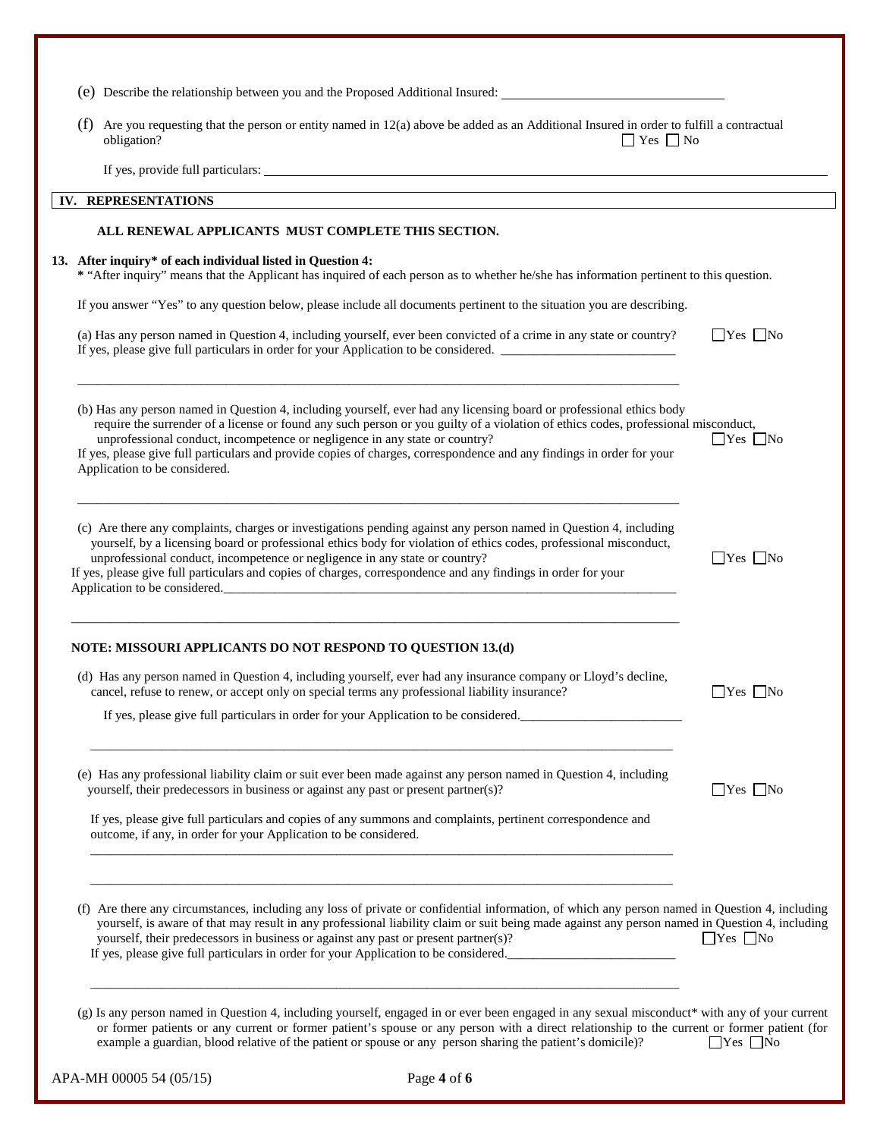| Are you requesting that the person or entity named in 12(a) above be added as an Additional Insured in order to fulfill a contractual<br>(f)<br>$\Box$ Yes $\Box$ No<br>obligation?                                                                                                                                                                                                                                                                                                                 |                      |
|-----------------------------------------------------------------------------------------------------------------------------------------------------------------------------------------------------------------------------------------------------------------------------------------------------------------------------------------------------------------------------------------------------------------------------------------------------------------------------------------------------|----------------------|
|                                                                                                                                                                                                                                                                                                                                                                                                                                                                                                     |                      |
| IV. REPRESENTATIONS                                                                                                                                                                                                                                                                                                                                                                                                                                                                                 |                      |
| ALL RENEWAL APPLICANTS MUST COMPLETE THIS SECTION.                                                                                                                                                                                                                                                                                                                                                                                                                                                  |                      |
| 13. After inquiry* of each individual listed in Question 4:<br>* "After inquiry" means that the Applicant has inquired of each person as to whether he/she has information pertinent to this question.                                                                                                                                                                                                                                                                                              |                      |
| If you answer "Yes" to any question below, please include all documents pertinent to the situation you are describing.                                                                                                                                                                                                                                                                                                                                                                              |                      |
| (a) Has any person named in Question 4, including yourself, ever been convicted of a crime in any state or country?<br>If yes, please give full particulars in order for your Application to be considered.                                                                                                                                                                                                                                                                                         | $\Box$ Yes $\Box$ No |
| (b) Has any person named in Question 4, including yourself, ever had any licensing board or professional ethics body<br>require the surrender of a license or found any such person or you guilty of a violation of ethics codes, professional misconduct,<br>unprofessional conduct, incompetence or negligence in any state or country?<br>If yes, please give full particulars and provide copies of charges, correspondence and any findings in order for your<br>Application to be considered. | $\Box$ Yes $\Box$ No |
| (c) Are there any complaints, charges or investigations pending against any person named in Question 4, including<br>yourself, by a licensing board or professional ethics body for violation of ethics codes, professional misconduct,<br>unprofessional conduct, incompetence or negligence in any state or country?<br>If yes, please give full particulars and copies of charges, correspondence and any findings in order for your<br>Application to be considered.                            | $\Box$ Yes $\Box$ No |
|                                                                                                                                                                                                                                                                                                                                                                                                                                                                                                     |                      |
| NOTE: MISSOURI APPLICANTS DO NOT RESPOND TO QUESTION 13.(d)                                                                                                                                                                                                                                                                                                                                                                                                                                         |                      |
| (d) Has any person named in Question 4, including yourself, ever had any insurance company or Lloyd's decline,<br>cancel, refuse to renew, or accept only on special terms any professional liability insurance?                                                                                                                                                                                                                                                                                    | $\Box$ Yes $\Box$ No |
| If yes, please give full particulars in order for your Application to be considered.                                                                                                                                                                                                                                                                                                                                                                                                                |                      |
| (e) Has any professional liability claim or suit ever been made against any person named in Question 4, including<br>yourself, their predecessors in business or against any past or present partner(s)?                                                                                                                                                                                                                                                                                            | $\Box$ Yes $\Box$ No |
| If yes, please give full particulars and copies of any summons and complaints, pertinent correspondence and<br>outcome, if any, in order for your Application to be considered.                                                                                                                                                                                                                                                                                                                     |                      |
| (f) Are there any circumstances, including any loss of private or confidential information, of which any person named in Question 4, including<br>yourself, is aware of that may result in any professional liability claim or suit being made against any person named in Question 4, including<br>yourself, their predecessors in business or against any past or present partner(s)?<br>If yes, please give full particulars in order for your Application to be considered.                     | $\Box$ Yes $\Box$ No |
| (g) Is any person named in Question 4, including yourself, engaged in or ever been engaged in any sexual misconduct* with any of your current<br>or former patients or any current or former patient's spouse or any person with a direct relationship to the current or former patient (for<br>example a guardian, blood relative of the patient or spouse or any person sharing the patient's domicile)?                                                                                          | $\Box$ Yes $\Box$ No |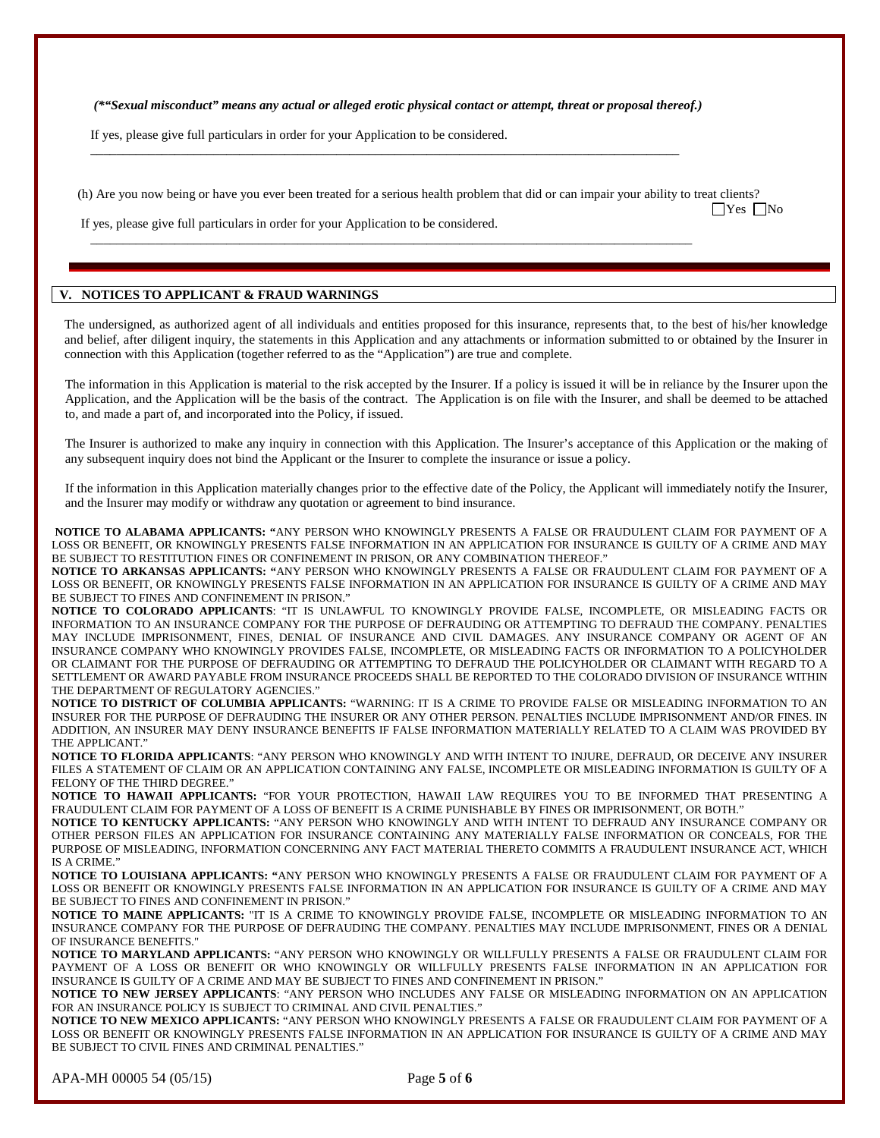*(\*"Sexual misconduct" means any actual or alleged erotic physical contact or attempt, threat or proposal thereof.)* 

\_\_\_\_\_\_\_\_\_\_\_\_\_\_\_\_\_\_\_\_\_\_\_\_\_\_\_\_\_\_\_\_\_\_\_\_\_\_\_\_\_\_\_\_\_\_\_\_\_\_\_\_\_\_\_\_\_\_\_\_\_\_\_\_\_\_\_\_\_\_\_\_\_\_\_\_\_\_\_\_\_\_\_\_\_\_\_\_\_\_\_

 $\Box$ 

If yes, please give full particulars in order for your Application to be considered.

(h) Are you now being or have you ever been treated for a serious health problem that did or can impair your ability to treat clients?

 $\Box$ Yes  $\Box$ No

If yes, please give full particulars in order for your Application to be considered.

## **V. NOTICES TO APPLICANT & FRAUD WARNINGS**

The undersigned, as authorized agent of all individuals and entities proposed for this insurance, represents that, to the best of his/her knowledge and belief, after diligent inquiry, the statements in this Application and any attachments or information submitted to or obtained by the Insurer in connection with this Application (together referred to as the "Application") are true and complete.

The information in this Application is material to the risk accepted by the Insurer. If a policy is issued it will be in reliance by the Insurer upon the Application, and the Application will be the basis of the contract. The Application is on file with the Insurer, and shall be deemed to be attached to, and made a part of, and incorporated into the Policy, if issued.

The Insurer is authorized to make any inquiry in connection with this Application. The Insurer's acceptance of this Application or the making of any subsequent inquiry does not bind the Applicant or the Insurer to complete the insurance or issue a policy.

If the information in this Application materially changes prior to the effective date of the Policy, the Applicant will immediately notify the Insurer, and the Insurer may modify or withdraw any quotation or agreement to bind insurance.

**NOTICE TO ALABAMA APPLICANTS: "**ANY PERSON WHO KNOWINGLY PRESENTS A FALSE OR FRAUDULENT CLAIM FOR PAYMENT OF A LOSS OR BENEFIT, OR KNOWINGLY PRESENTS FALSE INFORMATION IN AN APPLICATION FOR INSURANCE IS GUILTY OF A CRIME AND MAY BE SUBJECT TO RESTITUTION FINES OR CONFINEMENT IN PRISON, OR ANY COMBINATION THEREOF."

**NOTICE TO ARKANSAS APPLICANTS: "**ANY PERSON WHO KNOWINGLY PRESENTS A FALSE OR FRAUDULENT CLAIM FOR PAYMENT OF A LOSS OR BENEFIT, OR KNOWINGLY PRESENTS FALSE INFORMATION IN AN APPLICATION FOR INSURANCE IS GUILTY OF A CRIME AND MAY BE SUBJECT TO FINES AND CONFINEMENT IN PRISON."

**NOTICE TO COLORADO APPLICANTS**: "IT IS UNLAWFUL TO KNOWINGLY PROVIDE FALSE, INCOMPLETE, OR MISLEADING FACTS OR INFORMATION TO AN INSURANCE COMPANY FOR THE PURPOSE OF DEFRAUDING OR ATTEMPTING TO DEFRAUD THE COMPANY. PENALTIES MAY INCLUDE IMPRISONMENT, FINES, DENIAL OF INSURANCE AND CIVIL DAMAGES. ANY INSURANCE COMPANY OR AGENT OF AN INSURANCE COMPANY WHO KNOWINGLY PROVIDES FALSE, INCOMPLETE, OR MISLEADING FACTS OR INFORMATION TO A POLICYHOLDER OR CLAIMANT FOR THE PURPOSE OF DEFRAUDING OR ATTEMPTING TO DEFRAUD THE POLICYHOLDER OR CLAIMANT WITH REGARD TO A SETTLEMENT OR AWARD PAYABLE FROM INSURANCE PROCEEDS SHALL BE REPORTED TO THE COLORADO DIVISION OF INSURANCE WITHIN THE DEPARTMENT OF REGULATORY AGENCIES.'

**NOTICE TO DISTRICT OF COLUMBIA APPLICANTS:** "WARNING: IT IS A CRIME TO PROVIDE FALSE OR MISLEADING INFORMATION TO AN INSURER FOR THE PURPOSE OF DEFRAUDING THE INSURER OR ANY OTHER PERSON. PENALTIES INCLUDE IMPRISONMENT AND/OR FINES. IN ADDITION, AN INSURER MAY DENY INSURANCE BENEFITS IF FALSE INFORMATION MATERIALLY RELATED TO A CLAIM WAS PROVIDED BY THE APPLICANT."

**NOTICE TO FLORIDA APPLICANTS**: "ANY PERSON WHO KNOWINGLY AND WITH INTENT TO INJURE, DEFRAUD, OR DECEIVE ANY INSURER FILES A STATEMENT OF CLAIM OR AN APPLICATION CONTAINING ANY FALSE, INCOMPLETE OR MISLEADING INFORMATION IS GUILTY OF A FELONY OF THE THIRD DEGREE."

**NOTICE TO HAWAII APPLICANTS:** "FOR YOUR PROTECTION, HAWAII LAW REQUIRES YOU TO BE INFORMED THAT PRESENTING A FRAUDULENT CLAIM FOR PAYMENT OF A LOSS OF BENEFIT IS A CRIME PUNISHABLE BY FINES OR IMPRISONMENT, OR BOTH."

**NOTICE TO KENTUCKY APPLICANTS:** "ANY PERSON WHO KNOWINGLY AND WITH INTENT TO DEFRAUD ANY INSURANCE COMPANY OR OTHER PERSON FILES AN APPLICATION FOR INSURANCE CONTAINING ANY MATERIALLY FALSE INFORMATION OR CONCEALS, FOR THE PURPOSE OF MISLEADING, INFORMATION CONCERNING ANY FACT MATERIAL THERETO COMMITS A FRAUDULENT INSURANCE ACT, WHICH IS A CRIME."

**NOTICE TO LOUISIANA APPLICANTS: "**ANY PERSON WHO KNOWINGLY PRESENTS A FALSE OR FRAUDULENT CLAIM FOR PAYMENT OF A LOSS OR BENEFIT OR KNOWINGLY PRESENTS FALSE INFORMATION IN AN APPLICATION FOR INSURANCE IS GUILTY OF A CRIME AND MAY BE SUBJECT TO FINES AND CONFINEMENT IN PRISON."

**NOTICE TO MAINE APPLICANTS:** "IT IS A CRIME TO KNOWINGLY PROVIDE FALSE, INCOMPLETE OR MISLEADING INFORMATION TO AN INSURANCE COMPANY FOR THE PURPOSE OF DEFRAUDING THE COMPANY. PENALTIES MAY INCLUDE IMPRISONMENT, FINES OR A DENIAL OF INSURANCE BENEFITS."

**NOTICE TO MARYLAND APPLICANTS:** "ANY PERSON WHO KNOWINGLY OR WILLFULLY PRESENTS A FALSE OR FRAUDULENT CLAIM FOR PAYMENT OF A LOSS OR BENEFIT OR WHO KNOWINGLY OR WILLFULLY PRESENTS FALSE INFORMATION IN AN APPLICATION FOR INSURANCE IS GUILTY OF A CRIME AND MAY BE SUBJECT TO FINES AND CONFINEMENT IN PRISON."

**NOTICE TO NEW JERSEY APPLICANTS**: "ANY PERSON WHO INCLUDES ANY FALSE OR MISLEADING INFORMATION ON AN APPLICATION FOR AN INSURANCE POLICY IS SUBJECT TO CRIMINAL AND CIVIL PENALTIES."

**NOTICE TO NEW MEXICO APPLICANTS:** "ANY PERSON WHO KNOWINGLY PRESENTS A FALSE OR FRAUDULENT CLAIM FOR PAYMENT OF A LOSS OR BENEFIT OR KNOWINGLY PRESENTS FALSE INFORMATION IN AN APPLICATION FOR INSURANCE IS GUILTY OF A CRIME AND MAY BE SUBJECT TO CIVIL FINES AND CRIMINAL PENALTIES."